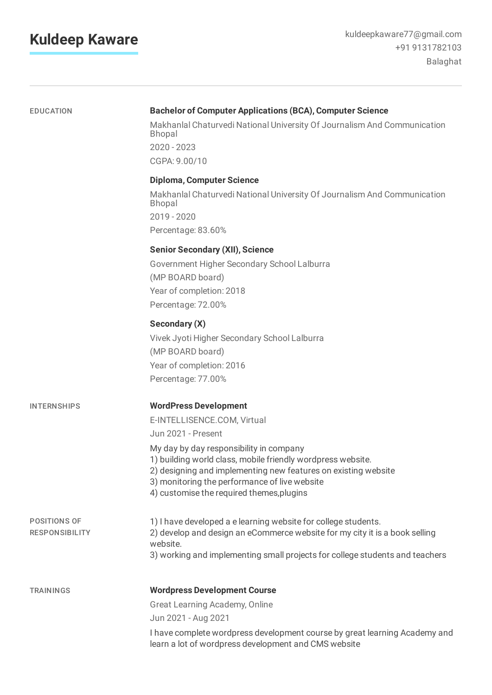## **Kuldeep Kaware**

| <b>EDUCATION</b>                             | <b>Bachelor of Computer Applications (BCA), Computer Science</b><br>Makhanlal Chaturvedi National University Of Journalism And Communication<br><b>Bhopal</b><br>2020 - 2023<br>CGPA: 9.00/10                                                                                                                                                               |  |
|----------------------------------------------|-------------------------------------------------------------------------------------------------------------------------------------------------------------------------------------------------------------------------------------------------------------------------------------------------------------------------------------------------------------|--|
|                                              | <b>Diploma, Computer Science</b><br>Makhanlal Chaturvedi National University Of Journalism And Communication<br><b>Bhopal</b><br>2019 - 2020<br>Percentage: 83.60%                                                                                                                                                                                          |  |
|                                              | <b>Senior Secondary (XII), Science</b><br>Government Higher Secondary School Lalburra<br>(MP BOARD board)<br>Year of completion: 2018<br>Percentage: 72.00%                                                                                                                                                                                                 |  |
|                                              | Secondary (X)<br>Vivek Jyoti Higher Secondary School Lalburra<br>(MP BOARD board)<br>Year of completion: 2016<br>Percentage: 77.00%                                                                                                                                                                                                                         |  |
| <b>INTERNSHIPS</b>                           | <b>WordPress Development</b><br>E-INTELLISENCE.COM, Virtual<br>Jun 2021 - Present<br>My day by day responsibility in company<br>1) building world class, mobile friendly wordpress website.<br>2) designing and implementing new features on existing website<br>3) monitoring the performance of live website<br>4) customise the required themes, plugins |  |
| <b>POSITIONS OF</b><br><b>RESPONSIBILITY</b> | 1) I have developed a e learning website for college students.<br>2) develop and design an eCommerce website for my city it is a book selling<br>website.<br>3) working and implementing small projects for college students and teachers                                                                                                                   |  |
| <b>TRAININGS</b>                             | <b>Wordpress Development Course</b><br>Great Learning Academy, Online<br>Jun 2021 - Aug 2021<br>I have complete wordpress development course by great learning Academy and<br>learn a lot of wordpress development and CMS website                                                                                                                          |  |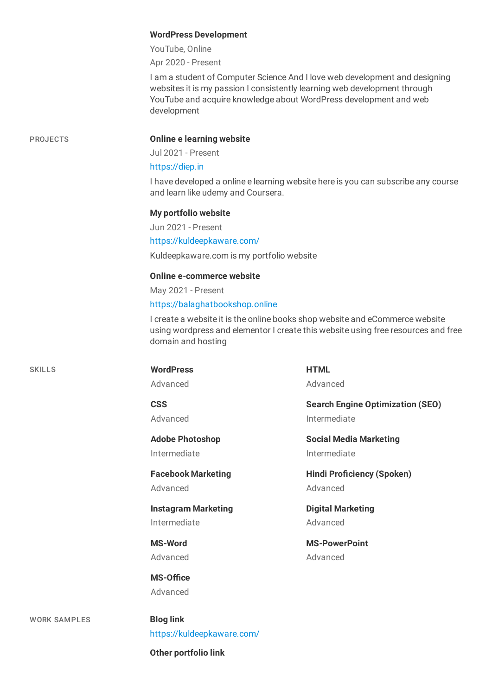|                     | <b>WordPress Development</b>                                                                                                                                                                                                                 |                                         |  |
|---------------------|----------------------------------------------------------------------------------------------------------------------------------------------------------------------------------------------------------------------------------------------|-----------------------------------------|--|
|                     | YouTube, Online                                                                                                                                                                                                                              |                                         |  |
|                     | Apr 2020 - Present                                                                                                                                                                                                                           |                                         |  |
|                     | I am a student of Computer Science And I love web development and designing<br>websites it is my passion I consistently learning web development through<br>YouTube and acquire knowledge about WordPress development and web<br>development |                                         |  |
| <b>PROJECTS</b>     | <b>Online e learning website</b>                                                                                                                                                                                                             |                                         |  |
|                     | Jul 2021 - Present                                                                                                                                                                                                                           |                                         |  |
|                     | https://diep.in                                                                                                                                                                                                                              |                                         |  |
|                     | I have developed a online e learning website here is you can subscribe any course<br>and learn like udemy and Coursera.                                                                                                                      |                                         |  |
|                     | My portfolio website                                                                                                                                                                                                                         |                                         |  |
|                     | Jun 2021 - Present                                                                                                                                                                                                                           |                                         |  |
|                     | https://kuldeepkaware.com/                                                                                                                                                                                                                   |                                         |  |
|                     | Kuldeepkaware.com is my portfolio website                                                                                                                                                                                                    |                                         |  |
|                     | <b>Online e-commerce website</b>                                                                                                                                                                                                             |                                         |  |
|                     | May 2021 - Present                                                                                                                                                                                                                           |                                         |  |
|                     | https://balaghatbookshop.online                                                                                                                                                                                                              |                                         |  |
|                     | I create a website it is the online books shop website and eCommerce website<br>using wordpress and elementor I create this website using free resources and free<br>domain and hosting                                                      |                                         |  |
| <b>SKILLS</b>       | <b>WordPress</b>                                                                                                                                                                                                                             | <b>HTML</b>                             |  |
|                     | Advanced                                                                                                                                                                                                                                     | Advanced                                |  |
|                     | <b>CSS</b>                                                                                                                                                                                                                                   | <b>Search Engine Optimization (SEO)</b> |  |
|                     | Advanced                                                                                                                                                                                                                                     | Intermediate                            |  |
|                     | <b>Adobe Photoshop</b>                                                                                                                                                                                                                       | <b>Social Media Marketing</b>           |  |
|                     | Intermediate                                                                                                                                                                                                                                 | Intermediate                            |  |
|                     | <b>Facebook Marketing</b>                                                                                                                                                                                                                    | <b>Hindi Proficiency (Spoken)</b>       |  |
|                     | Advanced                                                                                                                                                                                                                                     | Advanced                                |  |
|                     | <b>Instagram Marketing</b>                                                                                                                                                                                                                   | <b>Digital Marketing</b>                |  |
|                     | Intermediate                                                                                                                                                                                                                                 | Advanced                                |  |
|                     | <b>MS-Word</b>                                                                                                                                                                                                                               | <b>MS-PowerPoint</b>                    |  |
|                     | Advanced                                                                                                                                                                                                                                     | Advanced                                |  |
|                     | <b>MS-Office</b>                                                                                                                                                                                                                             |                                         |  |
|                     | Advanced                                                                                                                                                                                                                                     |                                         |  |
| <b>WORK SAMPLES</b> | <b>Blog link</b>                                                                                                                                                                                                                             |                                         |  |
|                     | https://kuldeepkaware.com/                                                                                                                                                                                                                   |                                         |  |
|                     |                                                                                                                                                                                                                                              |                                         |  |
|                     | Other portfolio link                                                                                                                                                                                                                         |                                         |  |